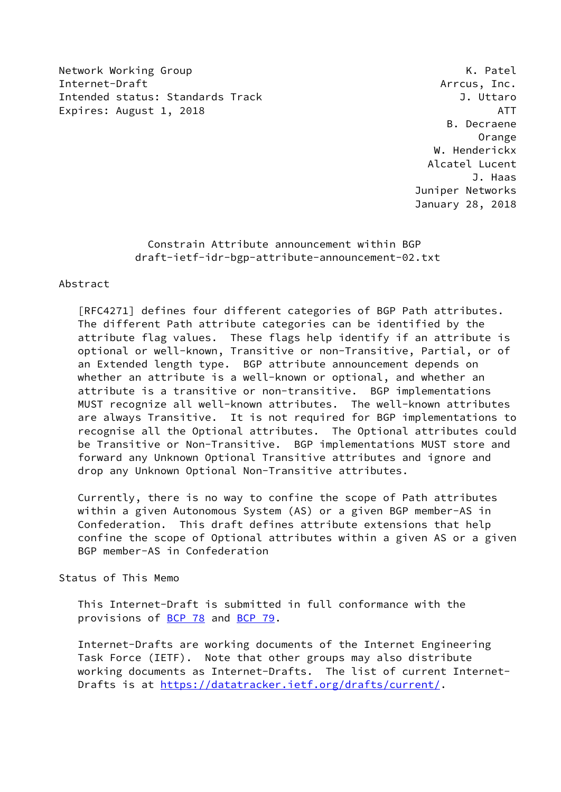Network Working Group **K. Patel** Internet-Draft Arrcus, Inc. Intended status: Standards Track J. Uttaro Expires: August 1, 2018 **ATT** 

 B. Decraene Orange W. Henderickx Alcatel Lucent J. Haas Juniper Networks January 28, 2018

## Constrain Attribute announcement within BGP draft-ietf-idr-bgp-attribute-announcement-02.txt

## Abstract

 [RFC4271] defines four different categories of BGP Path attributes. The different Path attribute categories can be identified by the attribute flag values. These flags help identify if an attribute is optional or well-known, Transitive or non-Transitive, Partial, or of an Extended length type. BGP attribute announcement depends on whether an attribute is a well-known or optional, and whether an attribute is a transitive or non-transitive. BGP implementations MUST recognize all well-known attributes. The well-known attributes are always Transitive. It is not required for BGP implementations to recognise all the Optional attributes. The Optional attributes could be Transitive or Non-Transitive. BGP implementations MUST store and forward any Unknown Optional Transitive attributes and ignore and drop any Unknown Optional Non-Transitive attributes.

 Currently, there is no way to confine the scope of Path attributes within a given Autonomous System (AS) or a given BGP member-AS in Confederation. This draft defines attribute extensions that help confine the scope of Optional attributes within a given AS or a given BGP member-AS in Confederation

Status of This Memo

 This Internet-Draft is submitted in full conformance with the provisions of [BCP 78](https://datatracker.ietf.org/doc/pdf/bcp78) and [BCP 79](https://datatracker.ietf.org/doc/pdf/bcp79).

 Internet-Drafts are working documents of the Internet Engineering Task Force (IETF). Note that other groups may also distribute working documents as Internet-Drafts. The list of current Internet Drafts is at<https://datatracker.ietf.org/drafts/current/>.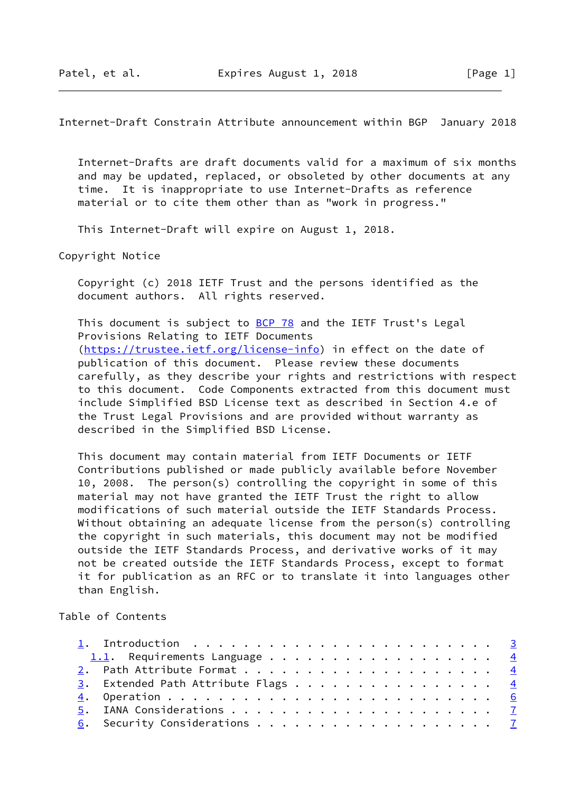Internet-Draft Constrain Attribute announcement within BGP January 2018

 Internet-Drafts are draft documents valid for a maximum of six months and may be updated, replaced, or obsoleted by other documents at any time. It is inappropriate to use Internet-Drafts as reference material or to cite them other than as "work in progress."

This Internet-Draft will expire on August 1, 2018.

Copyright Notice

 Copyright (c) 2018 IETF Trust and the persons identified as the document authors. All rights reserved.

This document is subject to [BCP 78](https://datatracker.ietf.org/doc/pdf/bcp78) and the IETF Trust's Legal Provisions Relating to IETF Documents [\(https://trustee.ietf.org/license-info](https://trustee.ietf.org/license-info)) in effect on the date of publication of this document. Please review these documents carefully, as they describe your rights and restrictions with respect to this document. Code Components extracted from this document must include Simplified BSD License text as described in Section 4.e of the Trust Legal Provisions and are provided without warranty as described in the Simplified BSD License.

 This document may contain material from IETF Documents or IETF Contributions published or made publicly available before November 10, 2008. The person(s) controlling the copyright in some of this material may not have granted the IETF Trust the right to allow modifications of such material outside the IETF Standards Process. Without obtaining an adequate license from the person(s) controlling the copyright in such materials, this document may not be modified outside the IETF Standards Process, and derivative works of it may not be created outside the IETF Standards Process, except to format it for publication as an RFC or to translate it into languages other than English.

Table of Contents

| 1. Introduction $\ldots \ldots \ldots \ldots \ldots \ldots \ldots \ldots \ldots$ |  |
|----------------------------------------------------------------------------------|--|
| 1.1. Requirements Language $\frac{4}{5}$                                         |  |
|                                                                                  |  |
| 3. Extended Path Attribute Flags $\frac{4}{5}$                                   |  |
|                                                                                  |  |
|                                                                                  |  |
|                                                                                  |  |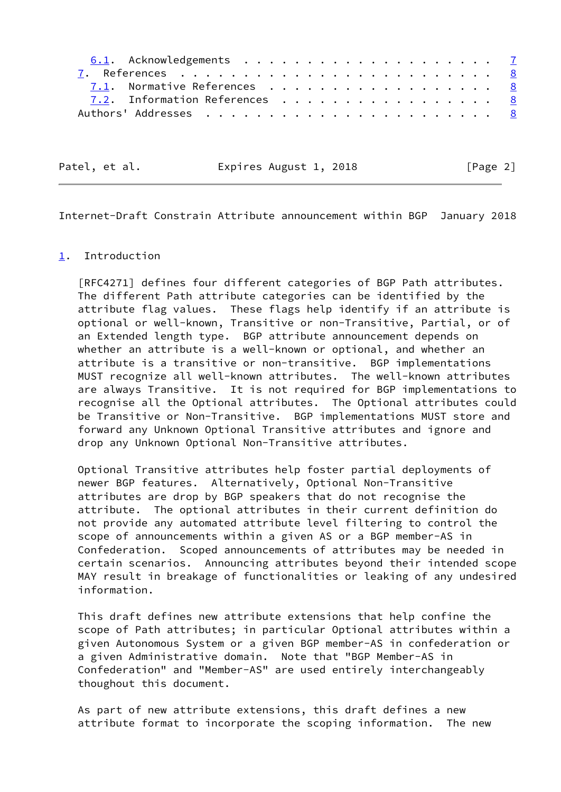| 7.1. Normative References 8   |  |  |  |  |  |  |  |  |
|-------------------------------|--|--|--|--|--|--|--|--|
| 7.2. Information References 8 |  |  |  |  |  |  |  |  |
|                               |  |  |  |  |  |  |  |  |

Patel, et al. Expires August 1, 2018 [Page 2]

<span id="page-2-1"></span>Internet-Draft Constrain Attribute announcement within BGP January 2018

## <span id="page-2-0"></span>[1](#page-2-0). Introduction

 [RFC4271] defines four different categories of BGP Path attributes. The different Path attribute categories can be identified by the attribute flag values. These flags help identify if an attribute is optional or well-known, Transitive or non-Transitive, Partial, or of an Extended length type. BGP attribute announcement depends on whether an attribute is a well-known or optional, and whether an attribute is a transitive or non-transitive. BGP implementations MUST recognize all well-known attributes. The well-known attributes are always Transitive. It is not required for BGP implementations to recognise all the Optional attributes. The Optional attributes could be Transitive or Non-Transitive. BGP implementations MUST store and forward any Unknown Optional Transitive attributes and ignore and drop any Unknown Optional Non-Transitive attributes.

 Optional Transitive attributes help foster partial deployments of newer BGP features. Alternatively, Optional Non-Transitive attributes are drop by BGP speakers that do not recognise the attribute. The optional attributes in their current definition do not provide any automated attribute level filtering to control the scope of announcements within a given AS or a BGP member-AS in Confederation. Scoped announcements of attributes may be needed in certain scenarios. Announcing attributes beyond their intended scope MAY result in breakage of functionalities or leaking of any undesired information.

 This draft defines new attribute extensions that help confine the scope of Path attributes; in particular Optional attributes within a given Autonomous System or a given BGP member-AS in confederation or a given Administrative domain. Note that "BGP Member-AS in Confederation" and "Member-AS" are used entirely interchangeably thoughout this document.

 As part of new attribute extensions, this draft defines a new attribute format to incorporate the scoping information. The new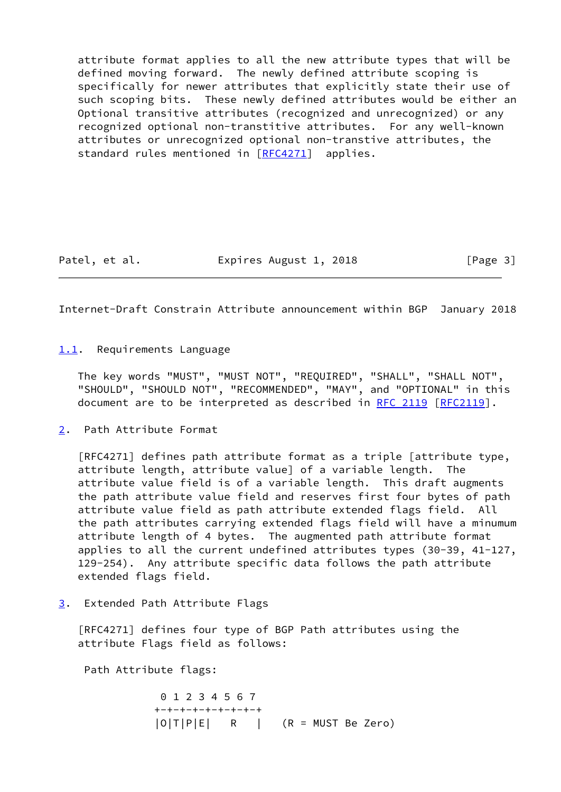attribute format applies to all the new attribute types that will be defined moving forward. The newly defined attribute scoping is specifically for newer attributes that explicitly state their use of such scoping bits. These newly defined attributes would be either an Optional transitive attributes (recognized and unrecognized) or any recognized optional non-transtitive attributes. For any well-known attributes or unrecognized optional non-transtive attributes, the standard rules mentioned in [\[RFC4271](https://datatracker.ietf.org/doc/pdf/rfc4271)] applies.

Patel, et al. **Expires August 1, 2018** [Page 3]

<span id="page-3-1"></span>Internet-Draft Constrain Attribute announcement within BGP January 2018

<span id="page-3-0"></span>[1.1](#page-3-0). Requirements Language

 The key words "MUST", "MUST NOT", "REQUIRED", "SHALL", "SHALL NOT", "SHOULD", "SHOULD NOT", "RECOMMENDED", "MAY", and "OPTIONAL" in this document are to be interpreted as described in [RFC 2119 \[RFC2119](https://datatracker.ietf.org/doc/pdf/rfc2119)].

<span id="page-3-2"></span>[2](#page-3-2). Path Attribute Format

 [RFC4271] defines path attribute format as a triple [attribute type, attribute length, attribute value] of a variable length. The attribute value field is of a variable length. This draft augments the path attribute value field and reserves first four bytes of path attribute value field as path attribute extended flags field. All the path attributes carrying extended flags field will have a minumum attribute length of 4 bytes. The augmented path attribute format applies to all the current undefined attributes types (30-39, 41-127, 129-254). Any attribute specific data follows the path attribute extended flags field.

<span id="page-3-3"></span>[3](#page-3-3). Extended Path Attribute Flags

 [RFC4271] defines four type of BGP Path attributes using the attribute Flags field as follows:

Path Attribute flags:

 0 1 2 3 4 5 6 7 +-+-+-+-+-+-+-+-+  $|O|T|P|E|$  R | (R = MUST Be Zero)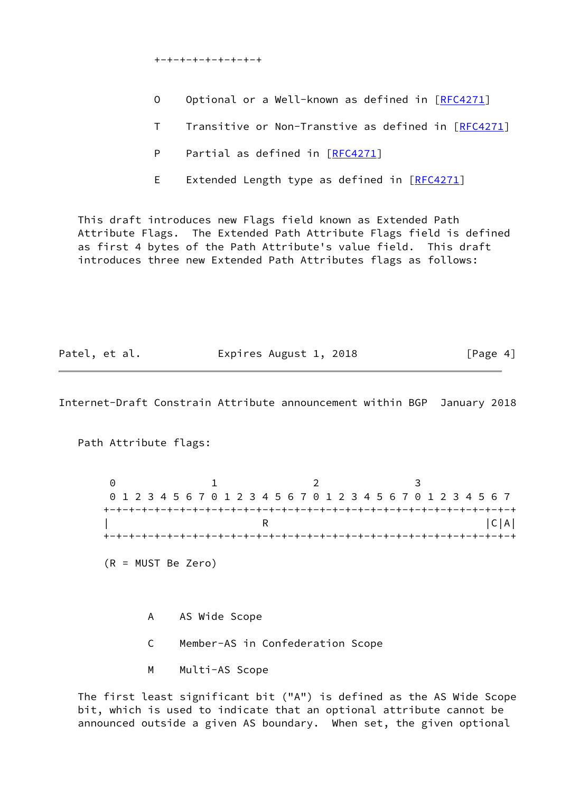+-+-+-+-+-+-+-+-+

- O Optional or a Well-known as defined in [\[RFC4271](https://datatracker.ietf.org/doc/pdf/rfc4271)]
- T Transitive or Non-Transtive as defined in [[RFC4271\]](https://datatracker.ietf.org/doc/pdf/rfc4271)
- P Partial as defined in [\[RFC4271](https://datatracker.ietf.org/doc/pdf/rfc4271)]
- E Extended Length type as defined in [\[RFC4271](https://datatracker.ietf.org/doc/pdf/rfc4271)]

 This draft introduces new Flags field known as Extended Path Attribute Flags. The Extended Path Attribute Flags field is defined as first 4 bytes of the Path Attribute's value field. This draft introduces three new Extended Path Attributes flags as follows:

Patel, et al. Expires August 1, 2018 [Page 4]

Internet-Draft Constrain Attribute announcement within BGP January 2018

Path Attribute flags:

0 1 2 3 0 1 2 3 4 5 6 7 0 1 2 3 4 5 6 7 0 1 2 3 4 5 6 7 0 1 2 3 4 5 6 7 +-+-+-+-+-+-+-+-+-+-+-+-+-+-+-+-+-+-+-+-+-+-+-+-+-+-+-+-+-+-+-+-+  $\begin{bmatrix} R & R \end{bmatrix}$   $\begin{bmatrix} C|A| \end{bmatrix}$ +-+-+-+-+-+-+-+-+-+-+-+-+-+-+-+-+-+-+-+-+-+-+-+-+-+-+-+-+-+-+-+-+

(R = MUST Be Zero)

- A AS Wide Scope
- C Member-AS in Confederation Scope
- M Multi-AS Scope

 The first least significant bit ("A") is defined as the AS Wide Scope bit, which is used to indicate that an optional attribute cannot be announced outside a given AS boundary. When set, the given optional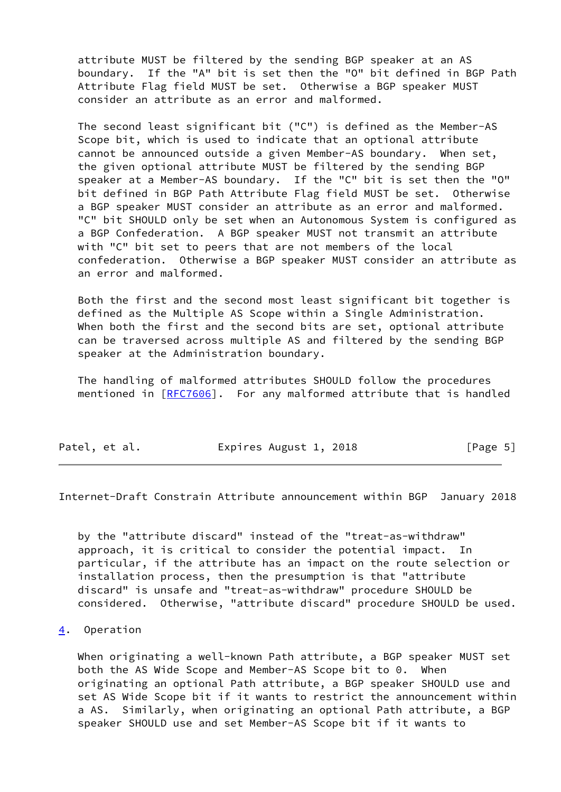attribute MUST be filtered by the sending BGP speaker at an AS boundary. If the "A" bit is set then the "O" bit defined in BGP Path Attribute Flag field MUST be set. Otherwise a BGP speaker MUST consider an attribute as an error and malformed.

 The second least significant bit ("C") is defined as the Member-AS Scope bit, which is used to indicate that an optional attribute cannot be announced outside a given Member-AS boundary. When set, the given optional attribute MUST be filtered by the sending BGP speaker at a Member-AS boundary. If the "C" bit is set then the "O" bit defined in BGP Path Attribute Flag field MUST be set. Otherwise a BGP speaker MUST consider an attribute as an error and malformed. "C" bit SHOULD only be set when an Autonomous System is configured as a BGP Confederation. A BGP speaker MUST not transmit an attribute with "C" bit set to peers that are not members of the local confederation. Otherwise a BGP speaker MUST consider an attribute as an error and malformed.

 Both the first and the second most least significant bit together is defined as the Multiple AS Scope within a Single Administration. When both the first and the second bits are set, optional attribute can be traversed across multiple AS and filtered by the sending BGP speaker at the Administration boundary.

 The handling of malformed attributes SHOULD follow the procedures mentioned in [\[RFC7606](https://datatracker.ietf.org/doc/pdf/rfc7606)]. For any malformed attribute that is handled

| Patel, et al. | Expires August 1, 2018 | [Page 5] |
|---------------|------------------------|----------|
|---------------|------------------------|----------|

<span id="page-5-1"></span>Internet-Draft Constrain Attribute announcement within BGP January 2018

 by the "attribute discard" instead of the "treat-as-withdraw" approach, it is critical to consider the potential impact. In particular, if the attribute has an impact on the route selection or installation process, then the presumption is that "attribute discard" is unsafe and "treat-as-withdraw" procedure SHOULD be considered. Otherwise, "attribute discard" procedure SHOULD be used.

<span id="page-5-0"></span>[4](#page-5-0). Operation

 When originating a well-known Path attribute, a BGP speaker MUST set both the AS Wide Scope and Member-AS Scope bit to 0. When originating an optional Path attribute, a BGP speaker SHOULD use and set AS Wide Scope bit if it wants to restrict the announcement within a AS. Similarly, when originating an optional Path attribute, a BGP speaker SHOULD use and set Member-AS Scope bit if it wants to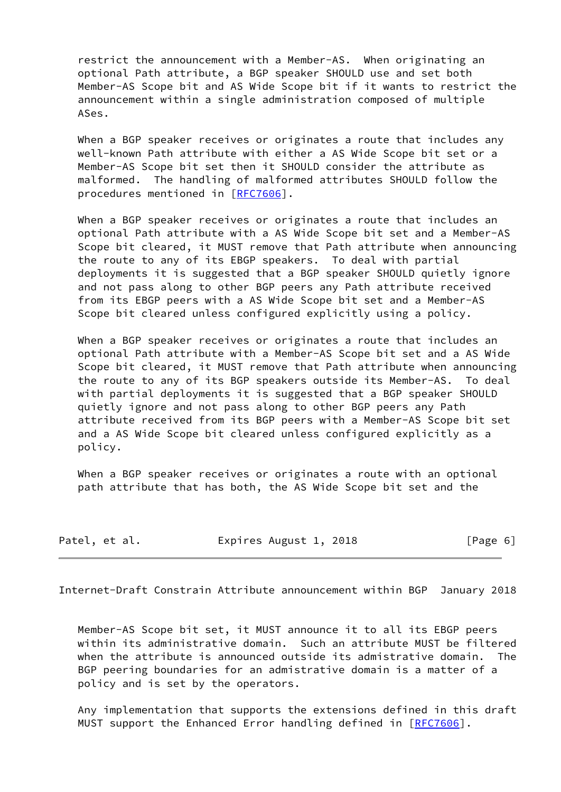restrict the announcement with a Member-AS. When originating an optional Path attribute, a BGP speaker SHOULD use and set both Member-AS Scope bit and AS Wide Scope bit if it wants to restrict the announcement within a single administration composed of multiple ASes.

When a BGP speaker receives or originates a route that includes any well-known Path attribute with either a AS Wide Scope bit set or a Member-AS Scope bit set then it SHOULD consider the attribute as malformed. The handling of malformed attributes SHOULD follow the procedures mentioned in [\[RFC7606](https://datatracker.ietf.org/doc/pdf/rfc7606)].

 When a BGP speaker receives or originates a route that includes an optional Path attribute with a AS Wide Scope bit set and a Member-AS Scope bit cleared, it MUST remove that Path attribute when announcing the route to any of its EBGP speakers. To deal with partial deployments it is suggested that a BGP speaker SHOULD quietly ignore and not pass along to other BGP peers any Path attribute received from its EBGP peers with a AS Wide Scope bit set and a Member-AS Scope bit cleared unless configured explicitly using a policy.

 When a BGP speaker receives or originates a route that includes an optional Path attribute with a Member-AS Scope bit set and a AS Wide Scope bit cleared, it MUST remove that Path attribute when announcing the route to any of its BGP speakers outside its Member-AS. To deal with partial deployments it is suggested that a BGP speaker SHOULD quietly ignore and not pass along to other BGP peers any Path attribute received from its BGP peers with a Member-AS Scope bit set and a AS Wide Scope bit cleared unless configured explicitly as a policy.

 When a BGP speaker receives or originates a route with an optional path attribute that has both, the AS Wide Scope bit set and the

| Patel, et al. | Expires August 1, 2018 | [Page 6] |
|---------------|------------------------|----------|
|---------------|------------------------|----------|

<span id="page-6-0"></span>Internet-Draft Constrain Attribute announcement within BGP January 2018

 Member-AS Scope bit set, it MUST announce it to all its EBGP peers within its administrative domain. Such an attribute MUST be filtered when the attribute is announced outside its admistrative domain. The BGP peering boundaries for an admistrative domain is a matter of a policy and is set by the operators.

 Any implementation that supports the extensions defined in this draft MUST support the Enhanced Error handling defined in [\[RFC7606](https://datatracker.ietf.org/doc/pdf/rfc7606)].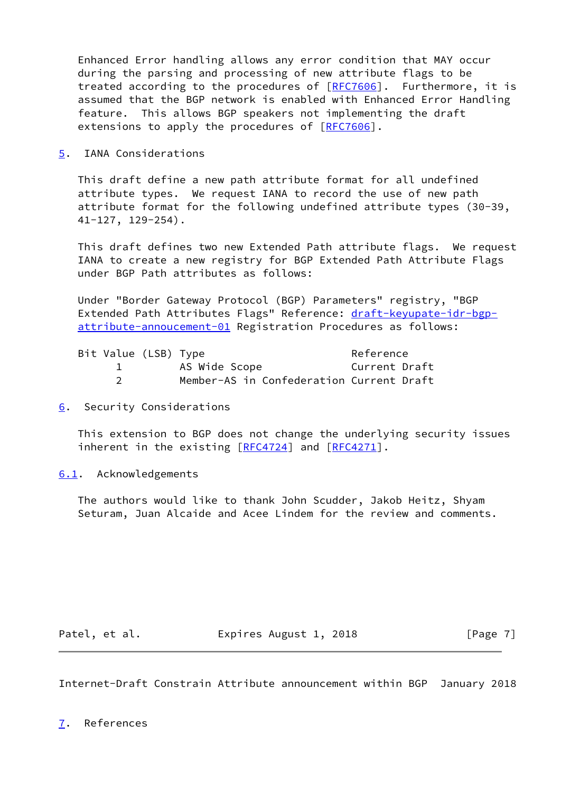Enhanced Error handling allows any error condition that MAY occur during the parsing and processing of new attribute flags to be treated according to the procedures of [\[RFC7606](https://datatracker.ietf.org/doc/pdf/rfc7606)]. Furthermore, it is assumed that the BGP network is enabled with Enhanced Error Handling feature. This allows BGP speakers not implementing the draft extensions to apply the procedures of [[RFC7606](https://datatracker.ietf.org/doc/pdf/rfc7606)].

<span id="page-7-0"></span>[5](#page-7-0). IANA Considerations

 This draft define a new path attribute format for all undefined attribute types. We request IANA to record the use of new path attribute format for the following undefined attribute types (30-39, 41-127, 129-254).

 This draft defines two new Extended Path attribute flags. We request IANA to create a new registry for BGP Extended Path Attribute Flags under BGP Path attributes as follows:

 Under "Border Gateway Protocol (BGP) Parameters" registry, "BGP Extended Path Attributes Flags" Reference: [draft-keyupate-idr-bgp](https://datatracker.ietf.org/doc/pdf/draft-keyupate-idr-bgp-attribute-annoucement-01) [attribute-annoucement-01](https://datatracker.ietf.org/doc/pdf/draft-keyupate-idr-bgp-attribute-annoucement-01) Registration Procedures as follows:

| Bit Value (LSB) Type |                                          | Reference     |
|----------------------|------------------------------------------|---------------|
|                      | AS Wide Scope                            | Current Draft |
|                      | Member-AS in Confederation Current Draft |               |

<span id="page-7-1"></span>[6](#page-7-1). Security Considerations

 This extension to BGP does not change the underlying security issues inherent in the existing [\[RFC4724](https://datatracker.ietf.org/doc/pdf/rfc4724)] and [\[RFC4271](https://datatracker.ietf.org/doc/pdf/rfc4271)].

<span id="page-7-2"></span>[6.1](#page-7-2). Acknowledgements

 The authors would like to thank John Scudder, Jakob Heitz, Shyam Seturam, Juan Alcaide and Acee Lindem for the review and comments.

Patel, et al. **Expires August 1, 2018** [Page 7]

<span id="page-7-4"></span><span id="page-7-3"></span>Internet-Draft Constrain Attribute announcement within BGP January 2018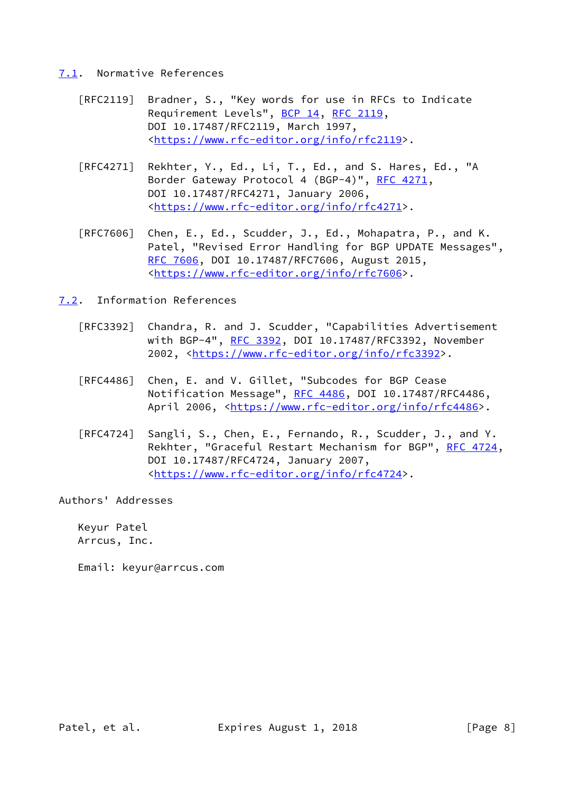## <span id="page-8-0"></span>[7.1](#page-8-0). Normative References

- [RFC2119] Bradner, S., "Key words for use in RFCs to Indicate Requirement Levels", [BCP 14](https://datatracker.ietf.org/doc/pdf/bcp14), [RFC 2119](https://datatracker.ietf.org/doc/pdf/rfc2119), DOI 10.17487/RFC2119, March 1997, <[https://www.rfc-editor.org/info/rfc2119>](https://www.rfc-editor.org/info/rfc2119).
- [RFC4271] Rekhter, Y., Ed., Li, T., Ed., and S. Hares, Ed., "A Border Gateway Protocol 4 (BGP-4)", [RFC 4271,](https://datatracker.ietf.org/doc/pdf/rfc4271) DOI 10.17487/RFC4271, January 2006, <[https://www.rfc-editor.org/info/rfc4271>](https://www.rfc-editor.org/info/rfc4271).
- [RFC7606] Chen, E., Ed., Scudder, J., Ed., Mohapatra, P., and K. Patel, "Revised Error Handling for BGP UPDATE Messages", [RFC 7606,](https://datatracker.ietf.org/doc/pdf/rfc7606) DOI 10.17487/RFC7606, August 2015, <[https://www.rfc-editor.org/info/rfc7606>](https://www.rfc-editor.org/info/rfc7606).
- <span id="page-8-1"></span>[7.2](#page-8-1). Information References
	- [RFC3392] Chandra, R. and J. Scudder, "Capabilities Advertisement with BGP-4", [RFC 3392](https://datatracker.ietf.org/doc/pdf/rfc3392), DOI 10.17487/RFC3392, November 2002, [<https://www.rfc-editor.org/info/rfc3392](https://www.rfc-editor.org/info/rfc3392)>.
	- [RFC4486] Chen, E. and V. Gillet, "Subcodes for BGP Cease Notification Message", [RFC 4486](https://datatracker.ietf.org/doc/pdf/rfc4486), DOI 10.17487/RFC4486, April 2006, [<https://www.rfc-editor.org/info/rfc4486](https://www.rfc-editor.org/info/rfc4486)>.
	- [RFC4724] Sangli, S., Chen, E., Fernando, R., Scudder, J., and Y. Rekhter, "Graceful Restart Mechanism for BGP", [RFC 4724](https://datatracker.ietf.org/doc/pdf/rfc4724), DOI 10.17487/RFC4724, January 2007, <[https://www.rfc-editor.org/info/rfc4724>](https://www.rfc-editor.org/info/rfc4724).

Authors' Addresses

 Keyur Patel Arrcus, Inc.

Email: keyur@arrcus.com